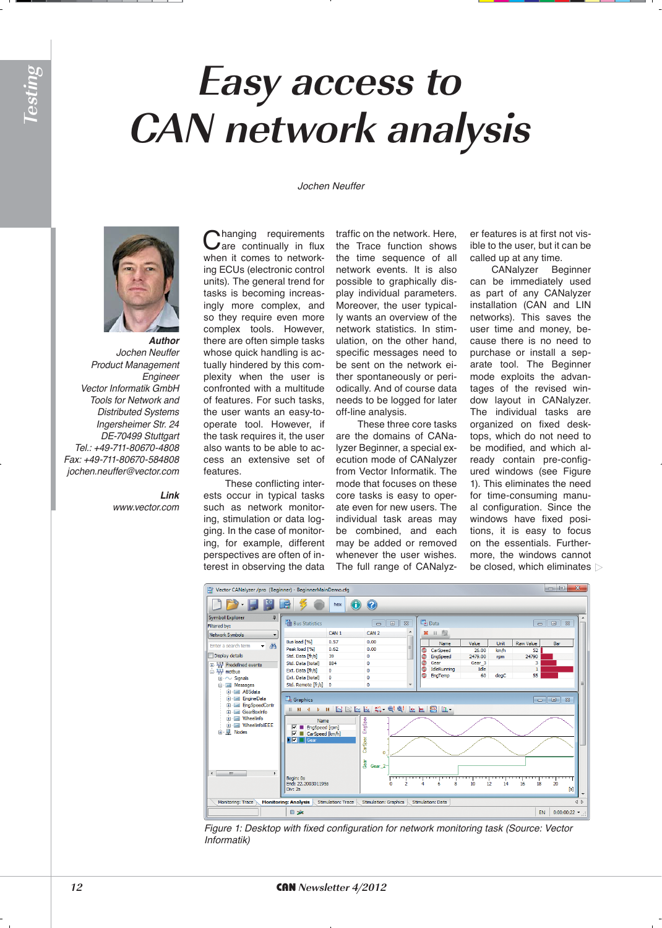## **Easy access to CAN network analysis**

*Jochen Neuffer*



*Author Jochen Neuffer Product Management*  Engineer Vector Informatik GmbH *Tools for Network and*  Distributed Systems Ingersheimer Str. 24 DE-70499 Stuttgart Tel.: +49-711-80670-4808 Fax: +49-711-80670-584808 *jochen.neuffer@vector.com*

> *Link www.vector.com*

Changing requirements<br>
Care continually in flux when it comes to networking ECUs (electronic control units). The general trend for tasks is becoming increasingly more complex, and so they require even more complex tools. However, there are often simple tasks whose quick handling is actually hindered by this complexity when the user is confronted with a multitude of features. For such tasks, the user wants an easy-tooperate tool. However, if the task requires it, the user also wants to be able to access an extensive set of features.

These conflicting interests occur in typical tasks such as network monitoring, stimulation or data logging. In the case of monitoring, for example, different perspectives are often of interest in observing the data

traffic on the network. Here, the Trace function shows the time sequence of all network events. It is also possible to graphically display individual parameters. Moreover, the user typically wants an overview of the network statistics. In stimulation, on the other hand, specific messages need to be sent on the network either spontaneously or periodically. And of course data needs to be logged for later off-line analysis.

These three core tasks are the domains of CANalyzer Beginner, a special execution mode of CANalyzer from Vector Informatik. The mode that focuses on these core tasks is easy to operate even for new users. The individual task areas may be combined, and each may be added or removed whenever the user wishes. The full range of CANalyz-

er features is at first not visible to the user, but it can be called up at any time.

CANalyzer Beginner can be immediately used as part of any CANalyzer installation (CAN and LIN networks). This saves the user time and money, because there is no need to purchase or install a separate tool. The Beginner mode exploits the advantages of the revised window layout in CANalyzer. The individual tasks are organized on fixed desktops, which do not need to be modified, and which already contain pre-configured windows (see Figure 1). This eliminates the need for time-consuming manual configuration. Since the windows have fixed positions, it is easy to focus on the essentials. Furthermore, the windows cannot be closed, which eliminates  $\triangleright$ 



Figure 1: Desktop with fixed configuration for network monitoring task (Source: Vector Informatik)